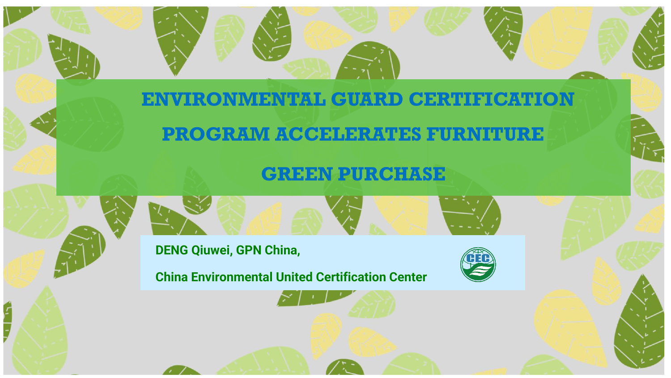#### **ENVIRONMENTAL GUARD CERTIFICATION**

### **PROGRAM ACCELERATES FURNITURE**

#### **GREEN PURCHASE**

**DENG Qiuwei, GPN China,**

**China Environmental United Certification Center**

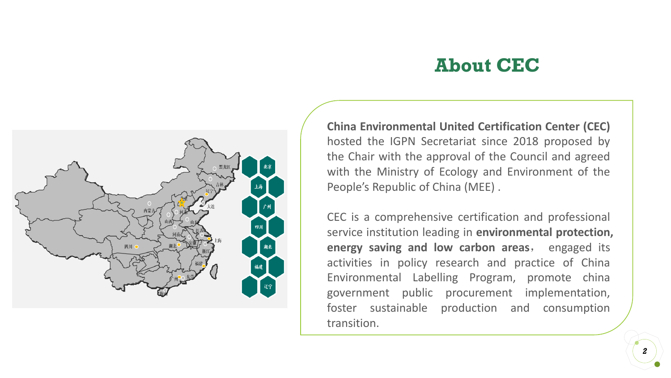#### **About CEC**



**China Environmental United Certification Center (CEC)** hosted the IGPN Secretariat since 2018 proposed by the Chair with the approval of the Council and agreed with the Ministry of Ecology and Environment of the People's Republic of China (MEE) .

CEC is a comprehensive certification and professional service institution leading in **environmental protection, energy saving and low carbon areas**, engaged its activities in policy research and practice of China Environmental Labelling Program, promote china government public procurement implementation, foster sustainable production and consumption transition.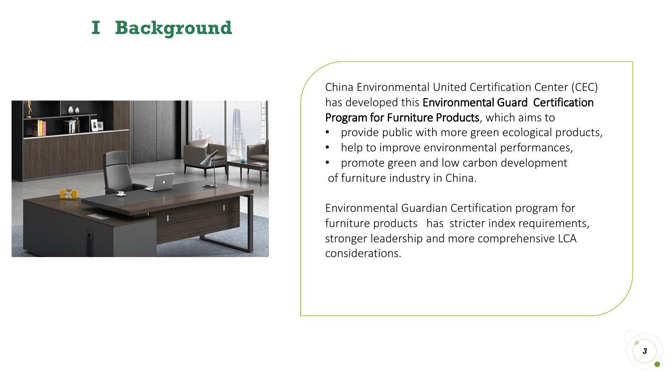# **I Background**



China Environmental United Certification Center (CEC) has developed this Environmental Guard Certification Program for Furniture Products, which aims to

- provide public with more green ecological products,
- help to improve environmental performances,
- promote green and low carbon development of furniture industry in China.

Environmental Guardian Certification program for furniture products has stricter index requirements, stronger leadership and more comprehensive LCA considerations.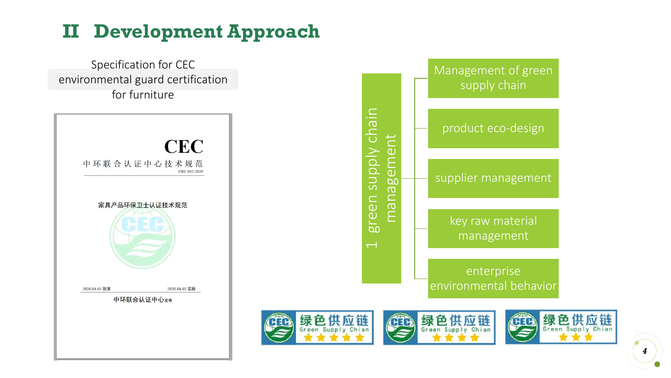# **II Development Approach**



*4*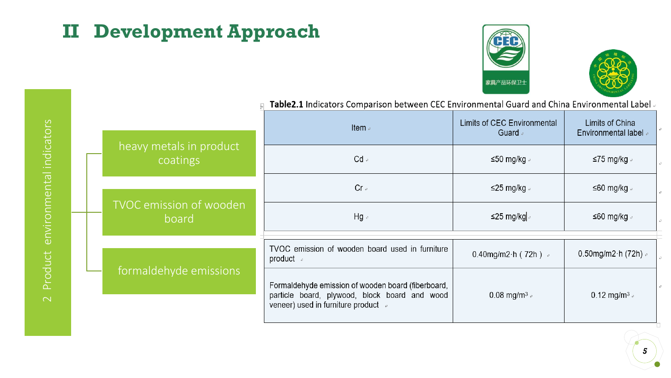# **II Development Approach**





| environmental Indicator |  |
|-------------------------|--|
| Product                 |  |
|                         |  |

|                                         | Item $\epsilon$                                                                                                                             | Limits of CEC Environmental<br>Guard e | Limits of China<br><b>Environmental label</b> |  |
|-----------------------------------------|---------------------------------------------------------------------------------------------------------------------------------------------|----------------------------------------|-----------------------------------------------|--|
| heavy metals in product<br>coatings     | $Cd \rightarrow$                                                                                                                            | ≤50 mg/kg $\approx$                    | ≤75 mg/kg $\triangle$                         |  |
|                                         | $Cr \circ$                                                                                                                                  | ≤25 mg/kg $\triangle$                  | ≤60 mg/kg $\triangle$                         |  |
| <b>TVOC emission of wooden</b><br>board | $Hg \circ$                                                                                                                                  | ≤25 mg/kg .                            | ≤60 mg/kg $\triangle$                         |  |
|                                         | TVOC emission of wooden board used in furniture<br>product $\sqrt{ }$                                                                       | 0.40mg/m2 $\cdot$ h (72h) a            | 0.50mg/m2 $\cdot$ h (72h) $\approx$           |  |
| formaldehyde emissions                  | Formaldehyde emission of wooden board (fiberboard,<br>particle board, plywood, block board and wood<br>veneer) used in furniture product of | 0.08 mg/m <sup>3</sup>                 | 0.12 mg/m <sup>3</sup> $\approx$              |  |

 $\overline{F}$  Table2.1 Indicators Comparison between CEC Environmental Guard and China Environmental Label

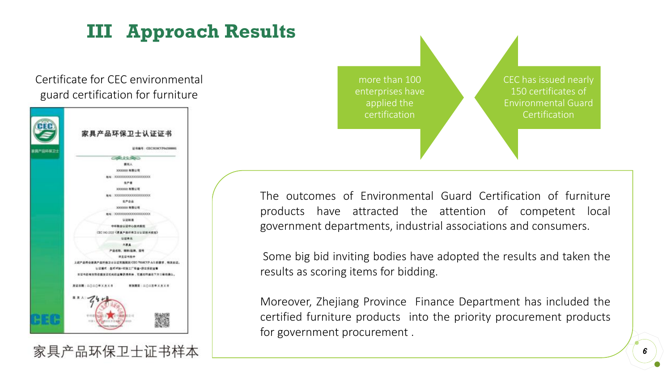# **III Approach Results**

Certificate for CEC environmental guard certification for furniture



more than 100 enterprises have applied the certification

CEC has issued nearly 150 certificates of Environmental Guard **Certification** 

The outcomes of Environmental Guard Certification of furniture products have attracted the attention of competent local government departments, industrial associations and consumers.

Some big bid inviting bodies have adopted the results and taken the results as scoring items for bidding.

Moreover, Zhejiang Province Finance Department has included the certified furniture products into the priority procurement products for government procurement .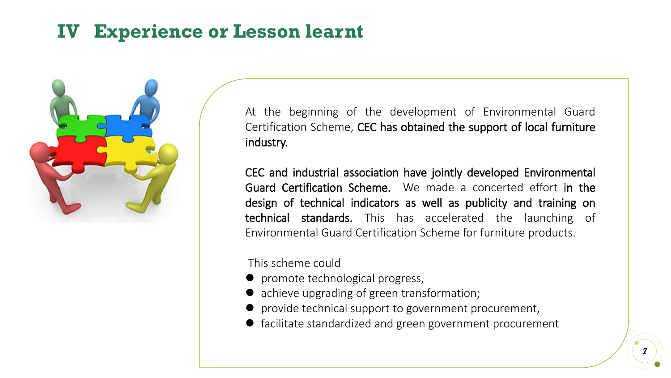### **IV Experience or Lesson learnt**



At the beginning of the development of Environmental Guard Certification Scheme, CEC has obtained the support of local furniture industry.

CEC and industrial association have jointly developed Environmental Guard Certification Scheme. We made a concerted effort in the design of technical indicators as well as publicity and training on technical standards. This has accelerated the launching of Environmental Guard Certification Scheme for furniture products.

This scheme could

- promote technological progress,
- achieve upgrading of green transformation;
- provide technical support to government procurement,
- facilitate standardized and green government procurement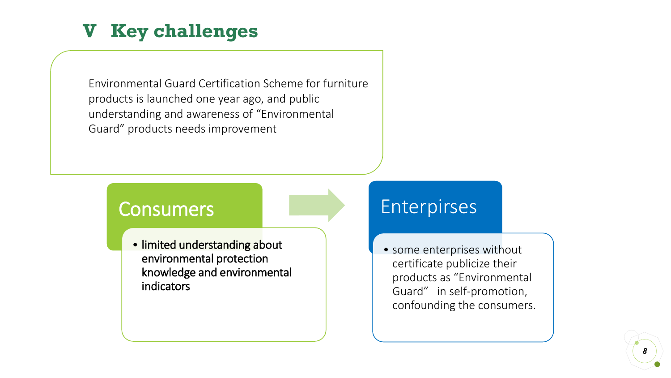# **V Key challenges**

Environmental Guard Certification Scheme for furniture products is launched one year ago, and public understanding and awareness of "Environmental Guard" products needs improvement

#### Consumers

• limited understanding about environmental protection knowledge and environmental indicators

#### Enterpirses

• some enterprises without certificate publicize their products as "Environmental Guard" in self-promotion, confounding the consumers.